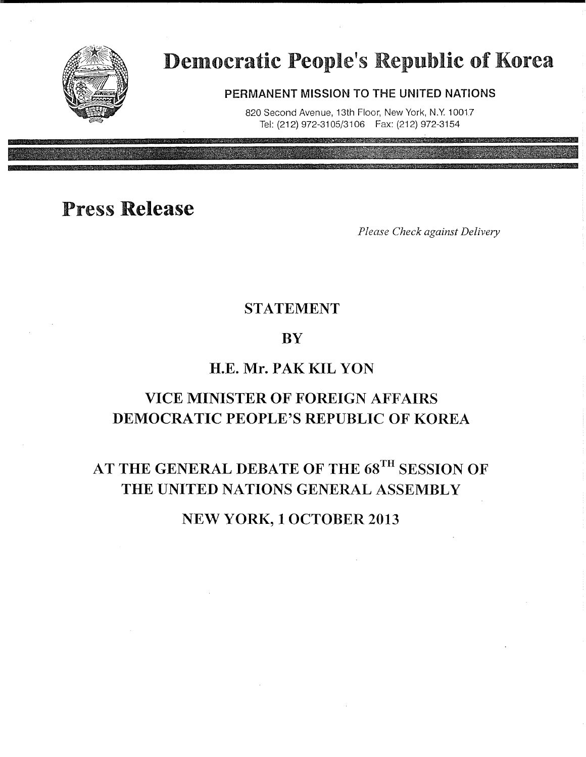

# Democratic People's Republic of Korea

PERMANENT MISSION TO THE UNITED NATIONS

820 Second Avenue, 13th Floor, New York, N.Y. 10017 Tel: (212) 972-3105/3106 Fax: (212) 972-3154

# Press Release

Please Check against Delivery

## STATEMENT

#### BY

### H.E. Mr. PAK KIL YON

## VICE MINISTER OF FOREIGN AFFAIRS DEMOCRATIC PEOPLE'S REPUBLIC OF KOREA

# AT THE GENERAL DEBATE OF THE 68<sup>TH</sup> SESSION OF THE UNITED NATIONS GENERAL ASSEMBLY

#### NEW YORK, 1 OCTOBER 2013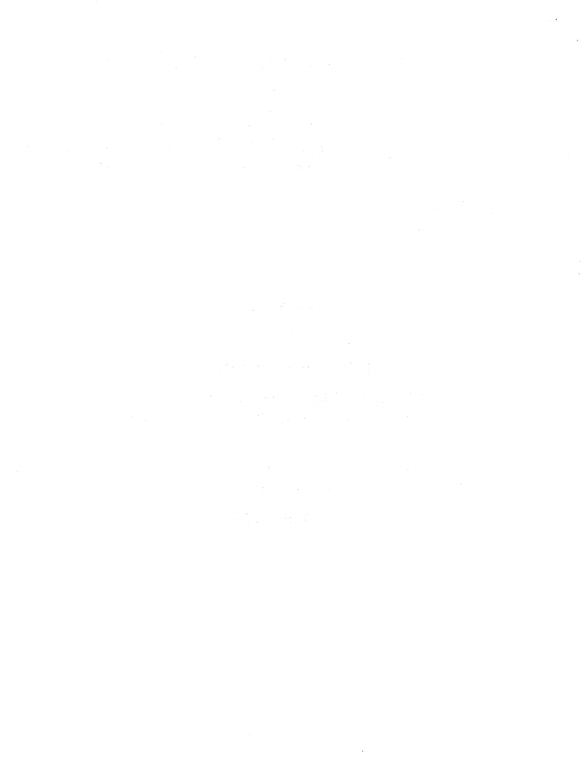$\label{eq:2.1} \mathcal{L}(\mathcal{L}^{\mathcal{L}}_{\mathcal{L}}(\mathcal{L}^{\mathcal{L}}_{\mathcal{L}})) = \mathcal{L}(\mathcal{L}^{\mathcal{L}}_{\mathcal{L}}(\mathcal{L}^{\mathcal{L}}_{\mathcal{L}})) = \mathcal{L}(\mathcal{L}^{\mathcal{L}}_{\mathcal{L}}(\mathcal{L}^{\mathcal{L}}_{\mathcal{L}})) = \mathcal{L}(\mathcal{L}^{\mathcal{L}}_{\mathcal{L}}(\mathcal{L}^{\mathcal{L}}_{\mathcal{L}}))$ 

 $\label{eq:2.1} \begin{split} \mathcal{L}_{\text{max}}(\mathcal{L}_{\text{max}}) = \mathcal{L}_{\text{max}}(\mathcal{L}_{\text{max}}) \mathcal{L}_{\text{max}}(\mathcal{L}_{\text{max}}) \mathcal{L}_{\text{max}}(\mathcal{L}_{\text{max}}) \mathcal{L}_{\text{max}}(\mathcal{L}_{\text{max}}) \mathcal{L}_{\text{max}}(\mathcal{L}_{\text{max}}) \mathcal{L}_{\text{max}}(\mathcal{L}_{\text{max}}) \mathcal{L}_{\text{max}}(\mathcal{L}_{\text{max}}) \mathcal{L}_{\text{max}}(\mathcal{L}_{\text{max$  $\label{eq:2.1} \mathcal{L}=\frac{1}{2}\int_{\mathbb{R}^3}\left(\mathcal{L}(\mathbf{r},\mathbf{r})-\mathcal{L}(\mathbf{r},\mathbf{r})\right)\mathcal{L}(\mathbf{r},\mathbf{r})\mathcal{L}(\mathbf{r},\mathbf{r})\mathcal{L}(\mathbf{r},\mathbf{r})\mathcal{L}(\mathbf{r},\mathbf{r})\mathcal{L}(\mathbf{r},\mathbf{r},\mathbf{r})\mathcal{L}(\mathbf{r},\mathbf{r},\mathbf{r},\mathbf{r})\mathcal{L}(\mathbf{r},\mathbf{r},\mathbf{$ 

 $\mathcal{L}^{\mathcal{L}}$  and the set of the set of the set of the set of the set of the set of the set of the set of the set of the set of the set of the set of the set of the set of the set of the set of the set of the set of the

 $\label{eq:2.1} \mathcal{L}(\mathcal{L}^{\mathcal{L}}_{\mathcal{L}}(\mathcal{L}^{\mathcal{L}}_{\mathcal{L}}(\mathcal{L}^{\mathcal{L}}_{\mathcal{L}}(\mathcal{L}^{\mathcal{L}}_{\mathcal{L}}(\mathcal{L}^{\mathcal{L}}_{\mathcal{L}}(\mathcal{L}^{\mathcal{L}}_{\mathcal{L}}(\mathcal{L}^{\mathcal{L}}_{\mathcal{L}}(\mathcal{L}^{\mathcal{L}}_{\mathcal{L}}(\mathcal{L}^{\mathcal{L}}_{\mathcal{L}}(\mathcal{L}^{\mathcal{L}}_{\mathcal{L}}(\mathcal{L$  $\label{eq:2.1} \mathcal{L}(\mathcal{L}(\mathcal{L}))=\mathcal{L}(\mathcal{L}(\mathcal{L}))=\mathcal{L}(\mathcal{L}(\mathcal{L}))=\mathcal{L}(\mathcal{L}(\mathcal{L}))=\mathcal{L}(\mathcal{L}(\mathcal{L}))=\mathcal{L}(\mathcal{L}(\mathcal{L}))=\mathcal{L}(\mathcal{L}(\mathcal{L}))=\mathcal{L}(\mathcal{L}(\mathcal{L}))=\mathcal{L}(\mathcal{L}(\mathcal{L}))=\mathcal{L}(\mathcal{L}(\mathcal{L}))=\mathcal{L}(\mathcal{L}(\mathcal{L}))=\mathcal{L}(\mathcal{L}(\$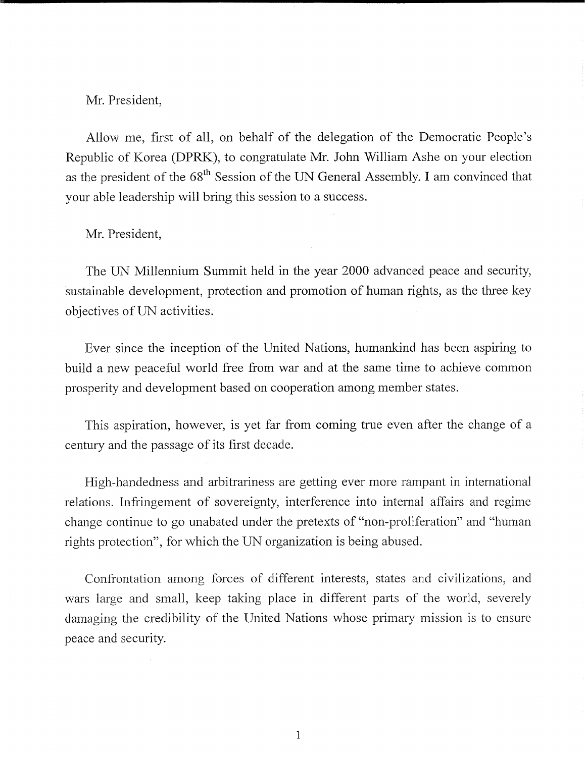Mr. President,

Allow me, first of all, on behalf of the delegation of the Democratic People's Republic of Korea (DPRK), to congratulate Mr. John William Ashe on your election as the president of the 68<sup>th</sup> Session of the UN General Assembly. I am convinced that your able leadership will bring this session to a success.

Mr. President,

The UN Millennium Summit held in the year 2000 advanced peace and security, sustainable development, protection and promotion of human rights, as the three key objectives of UN activities.

Ever since the inception of the United Nations, humankind has been aspiring to build a new peaceful world free from war and at the same time to achieve common prosperity and development based on cooperation among member states.

This aspiration, however, is yet far from coming true even after the change of a century and the passage of its first decade.

High-handedness and arbitrariness are getting ever more rampant in international relations. Infringement of sovereignty, interference into internal affairs and regime change continue to go unabated under the pretexts of "non-proliferation" and "human rights protection", for which the UN organization is being abused.

Confrontation among forces of different interests, states and civilizations, and wars large and small, keep taking place in different parts of the world, severely damaging the credibility of the United Nations whose primary mission is to ensure peace and security.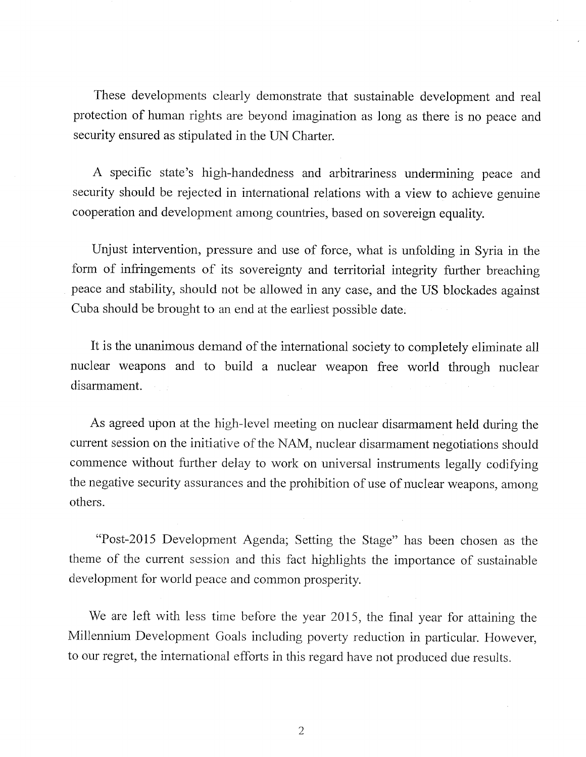These developments clearly demonstrate that sustainable development and real protection of human rights are beyond imagination as long as there is no peace and security ensured as stipulated in the UN Charter.

A specific state's high-handedness and arbitrariness undermining peace and security should be rejected in international relations with a view to achieve genuine cooperation and development among countries, based on sovereign equality.

Unjust intervention, pressure and use of force, what is unfolding in Syria in the form of infringements of its sovereignty and territorial integrity further breaching peace and stability, should not be allowed in any case, and the US blockades against Cuba should be brought to an end at the earliest possible date.

It is the unanimous demand of the international society to completely eliminate all nuclear weapons and to build a nuclear weapon free world through nuclear disarmament.

As agreed upon at the high-level meeting on nuclear disarmament held during the current session on the initiative of the NAM, nuclear disarmament negotiations should commence without further delay to work on universal instruments legally codifying the negative security assurances and the prohibition of use of nuclear weapons, among others.

"Post-2015 Development Agenda; Setting the Stage" has been chosen as the theme of the current session and this fact highlights the importance of sustainable development for world peace and common prosperity.

We are left with less time before the year 2015, the final year for attaining the Millennium Development Goals including poverty reduction in particular. However, to our regret, the international efforts in this regard have not produced due results.

2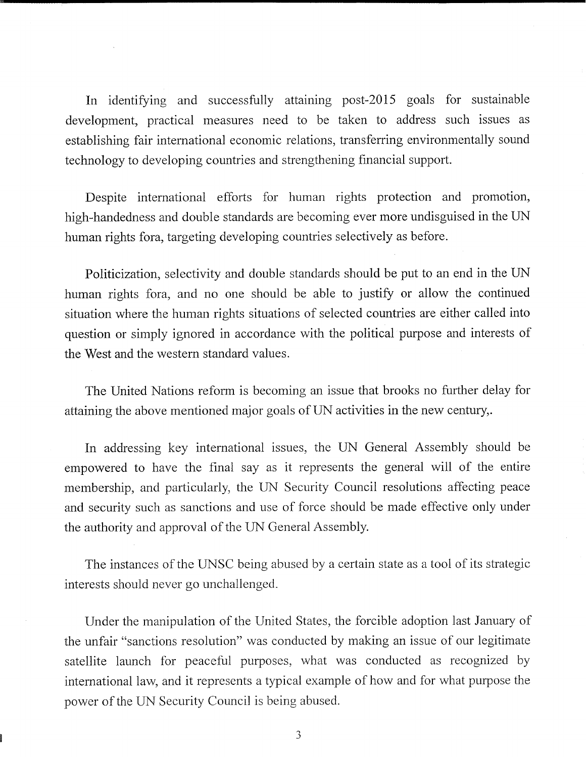In identifying and successfully attaining post-2015 goals for sustainable development, practical measures need to be taken to address such issues as establishing fair international economic relations, transferring environmentally sound technology to developing countries and strengthening financial support.

Despite international efforts for human rights protection and promotion, high-handedness and double standards are becoming ever more undisguised in the UN human rights fora, targeting developing countries selectively as before.

Politicization, selectivity and double standards should be put to an end in the UN human rights fora, and no one should be able to justify or allow the continued situation where the human rights situations of selected countries are either called into question or simply ignored in accordance with the political purpose and interests of the West and the western standard values.

The United Nations reform is becoming an issue that brooks no further delay for attaining the above mentioned major goals of UN activities in the new century,.

In addressing key international issues, the UN General Assembly should be empowered to have the final say as it represents the general will of the entire membership, and particularly, the UN Security Council resolutions affecting peace and security such as sanctions and use of force should be made effective only under the authority and approval of the UN General Assembly.

The instances of the UNSC being abused by a certain state as a tool of its strategic interests should never go unchallenged.

Under the manipulation of the United States, the forcible adoption last January of the unfair %anctions resolution" was conducted by making an issue of our legitimate satellite launch for peaceful purposes, what was conducted as recognized by international law, and it represents a typical example of how and for what purpose the power of the UN Security Council is being abused.

3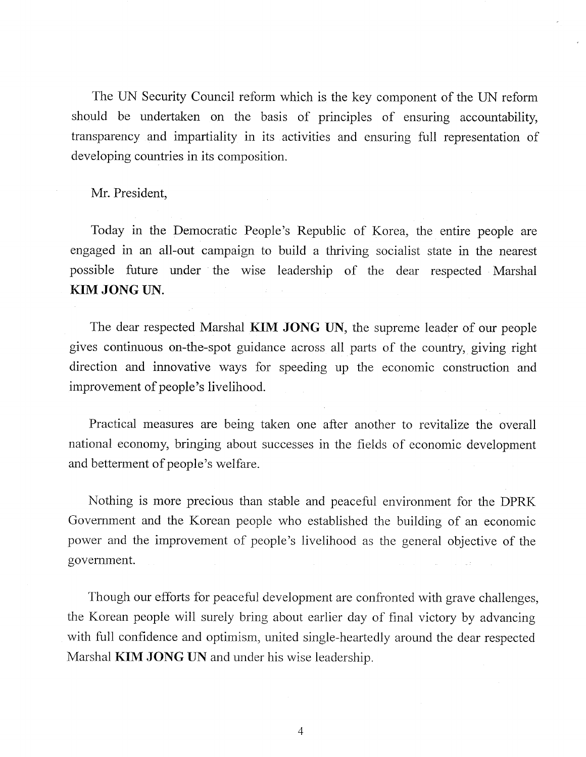The UN Security Council reform which is the key component of the UN reform should be undertaken on the basis of principles of ensuring accountability, transparency and impartiality in its activities and ensuring full representation of developing countries in its composition.

Mr. President,

Today in the Democratic People's Republic of Korea, the entire people are engaged in an all-out campaign to build a thriving socialist state in the nearest possible future under the wise leadership of the dear respected Marshal KIM JONG UN.

The dear respected Marshal KIM JONG UN, the supreme leader of our people gives continuous on-the-spot guidance across all parts of the country, giving right direction and innovative ways for speeding up the economic construction and improvement of people's livelihood.

Practical measures are being taken one after another to revitalize the overall national economy, bringing about successes in the fields of economic development and betterment of people's welfare.

Nothing is more precious than stable and peaceful environment for the DPRK Government and the Korean people who established the building of an economic power and the improvement of people's livelihood as the general objective of the government.

Though our efforts for peaceful development are confronted with grave challenges, the Korean people will surely bring about earlier day of final victory by advancing with full confidence and optimism, united single-heartedly around the dear respected Marshal **KIM JONG UN** and under his wise leadership.

 $\overline{4}$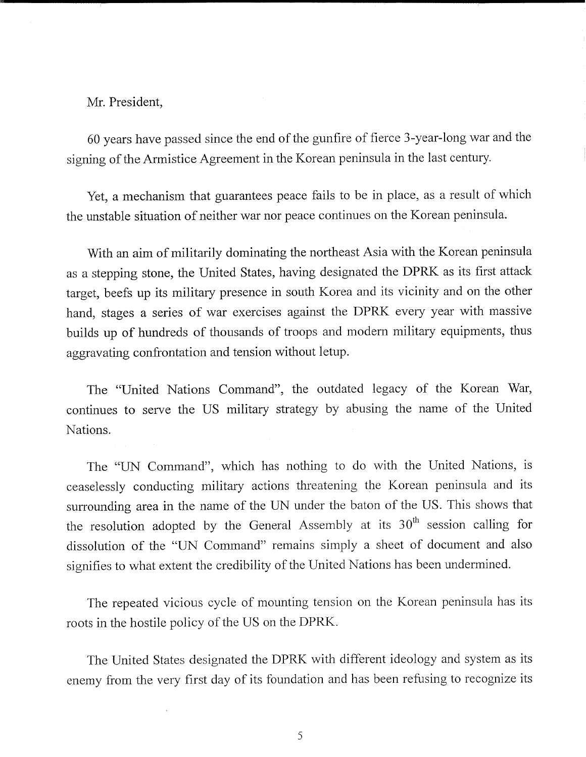#### Mr. President,

60 years have passed since the end of the gunfire of fierce 3-year-long war and the signing of the Armistice Agreement in the Korean peninsula in the last century.

Yet, a mechanism that guarantees peace fails to be in place, as a result of which the unstable situation of neither war nor peace continues on the Korean peninsula.

With an aim of militarily dominating the northeast Asia with the Korean peninsula as a stepping stone, the United States, having designated the DPRK as its first attack target, beefs up its military presence in south Korea and its vicinity and on the other hand, stages a series of war exercises against the DPRK every year with massive builds up of hundreds of thousands of troops and modem military equipments, thus aggravating confrontation and tension without letup.

The "United Nations Command", the outdated legacy of the Korean War, continues to serve the US military strategy by abusing the name of the United Nations.

The "UN Command", which has nothing to do with the United Nations, is ceaselessly conducting military actions threatening the Korean peninsula and its surrounding area in the name of the UN under the baton of the US. This shows that the resolution adopted by the General Assembly at its  $30<sup>th</sup>$  session calling for dissolution of the "UN Command" remains simply a sheet of document and also signifies to what extent the credibility of the United Nations has been undermined.

The repeated vicious cycle of mounting tension on the Korean peninsula has its roots in the hostile policy of the US on the DPRK.

The United States designated the DPRK with different ideology and system as its enemy from the very first day of its foundation and has been refusing to recognize its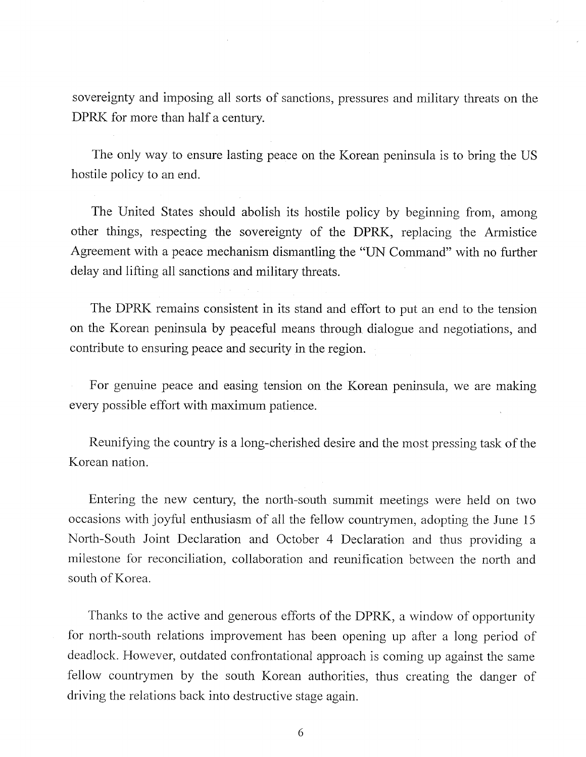sovereignty and imposing all sorts of sanctions, pressures and military threats on the DPRK for more than half a century.

The only way to ensure lasting peace on the Korean peninsula is to bring the US hostile policy to an end.

The United States should abolish its hostile policy by beginning from, among other things, respecting the sovereignty of the DPRK, replacing the Armistice Agreement with a peace mechanism dismantling the "UN Command" with no further delay and lifting all sanctions and military threats.

The DPRK remains consistent in its stand and effort to put an end to the tension on the Korean peninsula by peaceful means through dialogue and negotiations, and contribute to ensuring peace and security in the region.

For genuine peace and easing tension on the Korean peninsula, we are making every possible effort with maximum patience.

Reunifying the country is a long-cherished desire and the most pressing task of the Korean nation.

Entering the new century, the north-south summit meetings were held on two occasions with joyful enthusiasm of all the fellow countrymen, adopting the June 15 North-South Joint Declaration and October 4 Declaration and thus providing a milestone for reconciliation, collaboration and reunification between the north and south of Korea.

Thanks to the active and generous efforts of the DPRK, a window of opportunity for north-south relations improvement has been opening up after a long period of deadlock. However, outdated confrontational approach is coming up against the same fellow countrymen by the south Korean authorities, thus creating the danger of driving the relations back into destructive stage again.

6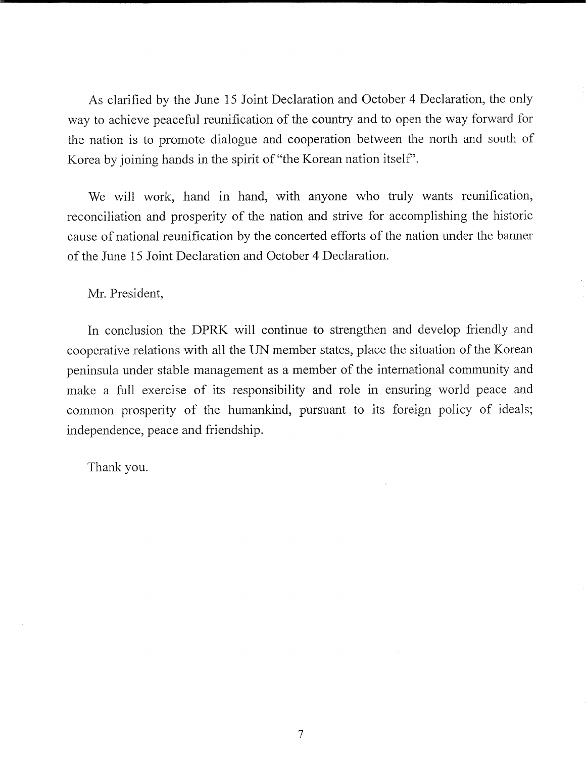As clarified by the June 15 Joint Declaration and October 4 Declaration, the only way to achieve peaceful reunification of the country and to open the way forward for the nation is to promote dialogue and cooperation between the north and south of Korea by joining hands in the spirit of"the Korean nation itself".

We will work, hand in hand, with anyone who truly wants reunification, reconciliation and prosperity of the nation and strive for accomplishing the historic cause of national reunification by the concerted efforts of the nation under the banner of the June 15 Joint Declaration and October 4 Declaration.

Mr. President,

In conclusion the DPRK will continue to strengthen and develop friendly and cooperative relations with all the UN member states, place the situation of the Korean peninsula under stable management as a member of the international community and make a full exercise of its responsibility and role in ensuring world peace and common prosperity of the humankind, pursuant to its foreign policy of ideals; independence, peace and friendship.

Thank you.